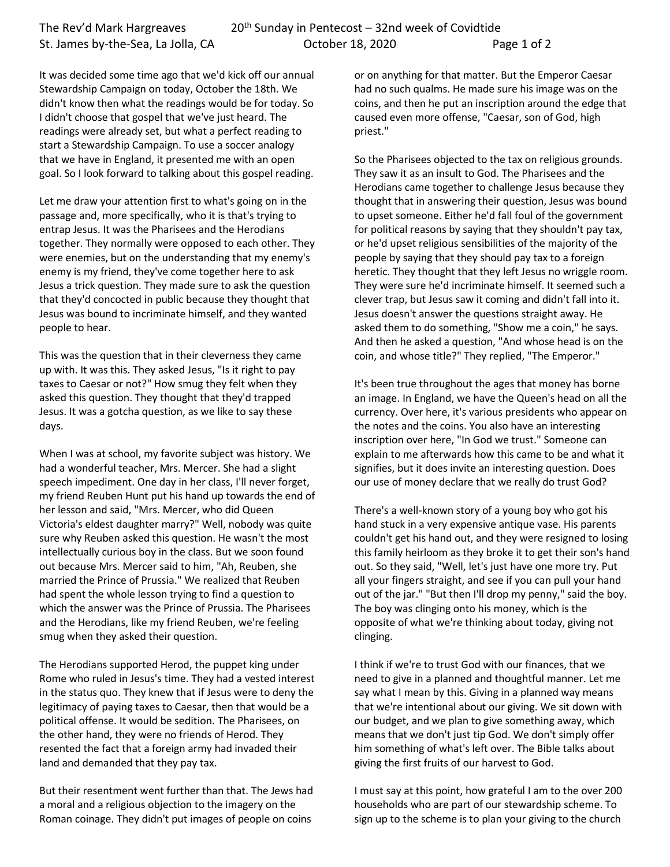It was decided some time ago that we'd kick off our annual Stewardship Campaign on today, October the 18th. We didn't know then what the readings would be for today. So I didn't choose that gospel that we've just heard. The readings were already set, but what a perfect reading to start a Stewardship Campaign. To use a soccer analogy that we have in England, it presented me with an open goal. So I look forward to talking about this gospel reading.

Let me draw your attention first to what's going on in the passage and, more specifically, who it is that's trying to entrap Jesus. It was the Pharisees and the Herodians together. They normally were opposed to each other. They were enemies, but on the understanding that my enemy's enemy is my friend, they've come together here to ask Jesus a trick question. They made sure to ask the question that they'd concocted in public because they thought that Jesus was bound to incriminate himself, and they wanted people to hear.

This was the question that in their cleverness they came up with. It was this. They asked Jesus, "Is it right to pay taxes to Caesar or not?" How smug they felt when they asked this question. They thought that they'd trapped Jesus. It was a gotcha question, as we like to say these days.

When I was at school, my favorite subject was history. We had a wonderful teacher, Mrs. Mercer. She had a slight speech impediment. One day in her class, I'll never forget, my friend Reuben Hunt put his hand up towards the end of her lesson and said, "Mrs. Mercer, who did Queen Victoria's eldest daughter marry?" Well, nobody was quite sure why Reuben asked this question. He wasn't the most intellectually curious boy in the class. But we soon found out because Mrs. Mercer said to him, "Ah, Reuben, she married the Prince of Prussia." We realized that Reuben had spent the whole lesson trying to find a question to which the answer was the Prince of Prussia. The Pharisees and the Herodians, like my friend Reuben, we're feeling smug when they asked their question.

The Herodians supported Herod, the puppet king under Rome who ruled in Jesus's time. They had a vested interest in the status quo. They knew that if Jesus were to deny the legitimacy of paying taxes to Caesar, then that would be a political offense. It would be sedition. The Pharisees, on the other hand, they were no friends of Herod. They resented the fact that a foreign army had invaded their land and demanded that they pay tax.

But their resentment went further than that. The Jews had a moral and a religious objection to the imagery on the Roman coinage. They didn't put images of people on coins

or on anything for that matter. But the Emperor Caesar had no such qualms. He made sure his image was on the coins, and then he put an inscription around the edge that caused even more offense, "Caesar, son of God, high priest."

So the Pharisees objected to the tax on religious grounds. They saw it as an insult to God. The Pharisees and the Herodians came together to challenge Jesus because they thought that in answering their question, Jesus was bound to upset someone. Either he'd fall foul of the government for political reasons by saying that they shouldn't pay tax, or he'd upset religious sensibilities of the majority of the people by saying that they should pay tax to a foreign heretic. They thought that they left Jesus no wriggle room. They were sure he'd incriminate himself. It seemed such a clever trap, but Jesus saw it coming and didn't fall into it. Jesus doesn't answer the questions straight away. He asked them to do something, "Show me a coin," he says. And then he asked a question, "And whose head is on the coin, and whose title?" They replied, "The Emperor."

It's been true throughout the ages that money has borne an image. In England, we have the Queen's head on all the currency. Over here, it's various presidents who appear on the notes and the coins. You also have an interesting inscription over here, "In God we trust." Someone can explain to me afterwards how this came to be and what it signifies, but it does invite an interesting question. Does our use of money declare that we really do trust God?

There's a well-known story of a young boy who got his hand stuck in a very expensive antique vase. His parents couldn't get his hand out, and they were resigned to losing this family heirloom as they broke it to get their son's hand out. So they said, "Well, let's just have one more try. Put all your fingers straight, and see if you can pull your hand out of the jar." "But then I'll drop my penny," said the boy. The boy was clinging onto his money, which is the opposite of what we're thinking about today, giving not clinging.

I think if we're to trust God with our finances, that we need to give in a planned and thoughtful manner. Let me say what I mean by this. Giving in a planned way means that we're intentional about our giving. We sit down with our budget, and we plan to give something away, which means that we don't just tip God. We don't simply offer him something of what's left over. The Bible talks about giving the first fruits of our harvest to God.

I must say at this point, how grateful I am to the over 200 households who are part of our stewardship scheme. To sign up to the scheme is to plan your giving to the church